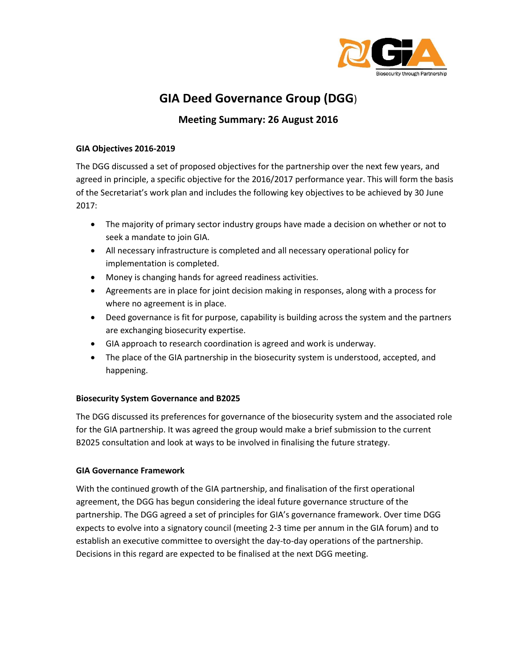

# **GIA Deed Governance Group (DGG**)

## **Meeting Summary: 26 August 2016**

### **GIA Objectives 2016-2019**

The DGG discussed a set of proposed objectives for the partnership over the next few years, and agreed in principle, a specific objective for the 2016/2017 performance year. This will form the basis of the Secretariat's work plan and includes the following key objectives to be achieved by 30 June 2017:

- The majority of primary sector industry groups have made a decision on whether or not to seek a mandate to join GIA.
- All necessary infrastructure is completed and all necessary operational policy for implementation is completed.
- Money is changing hands for agreed readiness activities.
- Agreements are in place for joint decision making in responses, along with a process for where no agreement is in place.
- Deed governance is fit for purpose, capability is building across the system and the partners are exchanging biosecurity expertise.
- GIA approach to research coordination is agreed and work is underway.
- The place of the GIA partnership in the biosecurity system is understood, accepted, and happening.

## **Biosecurity System Governance and B2025**

The DGG discussed its preferences for governance of the biosecurity system and the associated role for the GIA partnership. It was agreed the group would make a brief submission to the current B2025 consultation and look at ways to be involved in finalising the future strategy.

## **GIA Governance Framework**

With the continued growth of the GIA partnership, and finalisation of the first operational agreement, the DGG has begun considering the ideal future governance structure of the partnership. The DGG agreed a set of principles for GIA's governance framework. Over time DGG expects to evolve into a signatory council (meeting 2-3 time per annum in the GIA forum) and to establish an executive committee to oversight the day-to-day operations of the partnership. Decisions in this regard are expected to be finalised at the next DGG meeting.